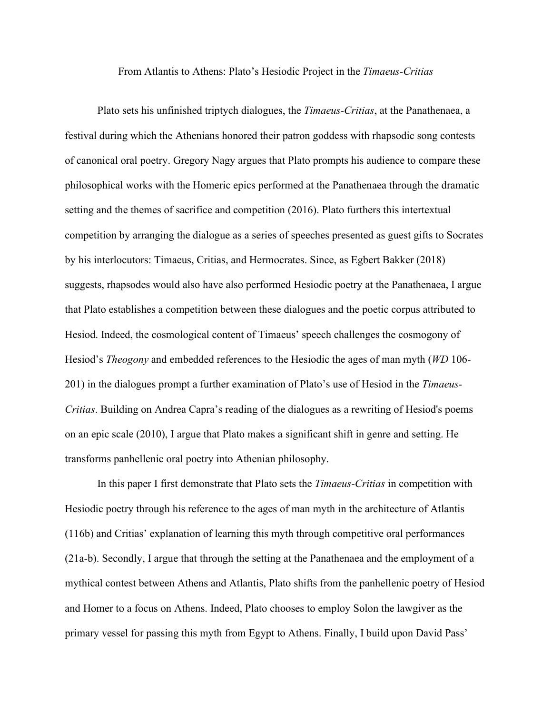From Atlantis to Athens: Plato's Hesiodic Project in the *Timaeus-Critias*

Plato sets his unfinished triptych dialogues, the *Timaeus-Critias*, at the Panathenaea, a festival during which the Athenians honored their patron goddess with rhapsodic song contests of canonical oral poetry. Gregory Nagy argues that Plato prompts his audience to compare these philosophical works with the Homeric epics performed at the Panathenaea through the dramatic setting and the themes of sacrifice and competition (2016). Plato furthers this intertextual competition by arranging the dialogue as a series of speeches presented as guest gifts to Socrates by his interlocutors: Timaeus, Critias, and Hermocrates. Since, as Egbert Bakker (2018) suggests, rhapsodes would also have also performed Hesiodic poetry at the Panathenaea, I argue that Plato establishes a competition between these dialogues and the poetic corpus attributed to Hesiod. Indeed, the cosmological content of Timaeus' speech challenges the cosmogony of Hesiod's *Theogony* and embedded references to the Hesiodic the ages of man myth (*WD* 106- 201) in the dialogues prompt a further examination of Plato's use of Hesiod in the *Timaeus-Critias*. Building on Andrea Capra's reading of the dialogues as a rewriting of Hesiod's poems on an epic scale (2010), I argue that Plato makes a significant shift in genre and setting. He transforms panhellenic oral poetry into Athenian philosophy.

In this paper I first demonstrate that Plato sets the *Timaeus-Critias* in competition with Hesiodic poetry through his reference to the ages of man myth in the architecture of Atlantis (116b) and Critias' explanation of learning this myth through competitive oral performances (21a-b). Secondly, I argue that through the setting at the Panathenaea and the employment of a mythical contest between Athens and Atlantis, Plato shifts from the panhellenic poetry of Hesiod and Homer to a focus on Athens. Indeed, Plato chooses to employ Solon the lawgiver as the primary vessel for passing this myth from Egypt to Athens. Finally, I build upon David Pass'